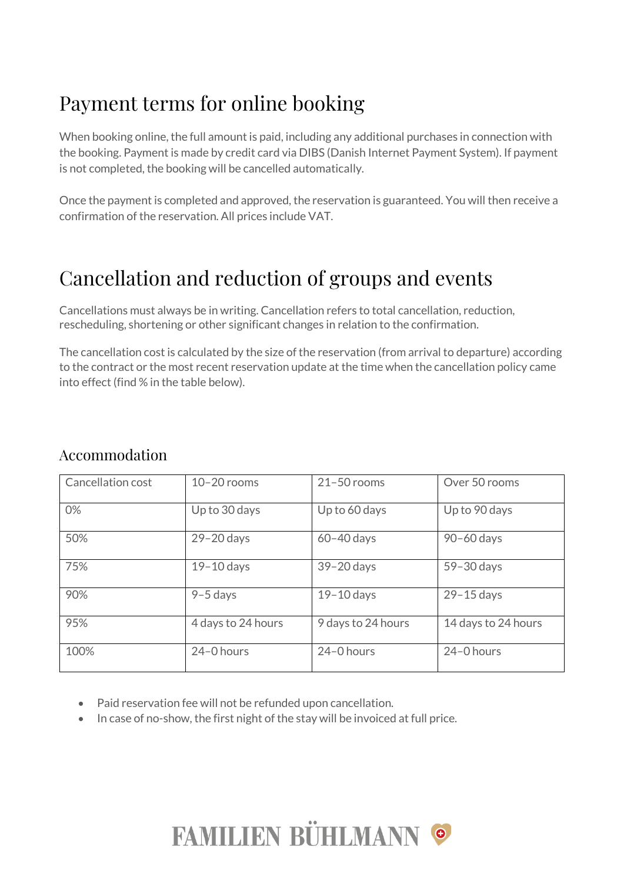# Payment terms for online booking

When booking online, the full amount is paid, including any additional purchases in connection with the booking. Payment is made by credit card via DIBS (Danish Internet Payment System). If payment is not completed, the booking will be cancelled automatically.

Once the payment is completed and approved, the reservation is guaranteed. You will then receive a confirmation of the reservation. All prices include VAT.

# Cancellation and reduction of groups and events

Cancellations must always be in writing. Cancellation refers to total cancellation, reduction, rescheduling, shortening or other significant changes in relation to the confirmation.

The cancellation cost is calculated by the size of the reservation (from arrival to departure) according to the contract or the most recent reservation update at the time when the cancellation policy came into effect (find % in the table below).

#### Accommodation

| Cancellation cost | $10 - 20$ rooms    | $21 - 50$ rooms    | Over 50 rooms       |
|-------------------|--------------------|--------------------|---------------------|
| 0%                | Up to 30 days      | Up to 60 days      | Up to 90 days       |
| 50%               | $29 - 20$ days     | $60 - 40$ days     | 90-60 days          |
| 75%               | $19-10$ days       | $39 - 20$ days     | 59-30 days          |
| 90%               | $9-5$ days         | $19-10$ days       | $29 - 15$ days      |
| 95%               | 4 days to 24 hours | 9 days to 24 hours | 14 days to 24 hours |
| 100%              | 24-0 hours         | 24-0 hours         | 24-0 hours          |

- Paid reservation fee will not be refunded upon cancellation.
- In case of no-show, the first night of the stay will be invoiced at full price.

# FAMILIEN BÜHLMANN ©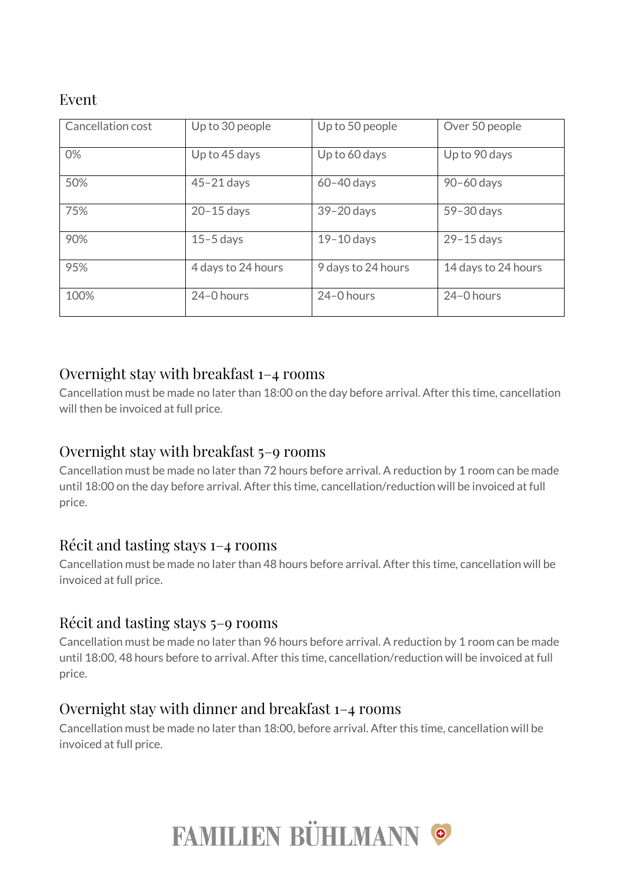### Event

| Cancellation cost | Up to 30 people    | Up to 50 people    | Over 50 people      |
|-------------------|--------------------|--------------------|---------------------|
| 0%                | Up to 45 days      | Up to 60 days      | Up to 90 days       |
| 50%               | $45 - 21$ days     | $60 - 40$ days     | 90-60 days          |
| 75%               | $20 - 15$ days     | 39-20 days         | 59-30 days          |
| 90%               | $15 - 5$ days      | $19-10$ days       | $29 - 15$ days      |
| 95%               | 4 days to 24 hours | 9 days to 24 hours | 14 days to 24 hours |
| 100%              | 24-0 hours         | 24-0 hours         | 24-0 hours          |

#### Overnight stay with breakfast 1–4 rooms

Cancellation must be made no later than 18:00 on the day before arrival. After this time, cancellation will then be invoiced at full price.

#### Overnight stay with breakfast 5–9 rooms

Cancellation must be made no later than 72 hours before arrival. A reduction by 1 room can be made until 18:00 on the day before arrival. After this time, cancellation/reduction will be invoiced at full price.

#### Récit and tasting stays 1–4 rooms

Cancellation must be made no later than 48 hours before arrival. After this time, cancellation will be invoiced at full price.

#### Récit and tasting stays 5–9 rooms

Cancellation must be made no later than 96 hours before arrival. A reduction by 1 room can be made until 18:00, 48 hours before to arrival. After this time, cancellation/reduction will be invoiced at full price.

#### Overnight stay with dinner and breakfast 1–4 rooms

Cancellation must be made no later than 18:00, before arrival. After this time, cancellation will be invoiced at full price.